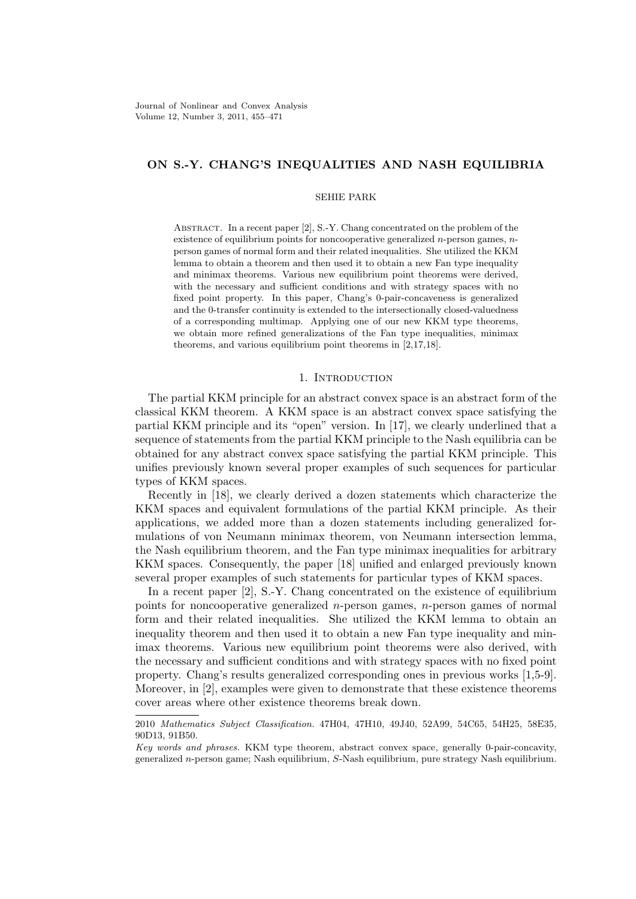Journal of Nonlinear and Convex Analysis Volume 12, Number 3, 2011, 455–471

# **ON S.-Y. CHANG'S INEQUALITIES AND NASH EQUILIBRIA**

## SEHIE PARK

ABSTRACT. In a recent paper [2], S.-Y. Chang concentrated on the problem of the existence of equilibrium points for noncooperative generalized *n*-person games, *n*person games of normal form and their related inequalities. She utilized the KKM lemma to obtain a theorem and then used it to obtain a new Fan type inequality and minimax theorems. Various new equilibrium point theorems were derived, with the necessary and sufficient conditions and with strategy spaces with no fixed point property. In this paper, Chang's 0-pair-concaveness is generalized and the 0-transfer continuity is extended to the intersectionally closed-valuedness of a corresponding multimap. Applying one of our new KKM type theorems, we obtain more refined generalizations of the Fan type inequalities, minimax theorems, and various equilibrium point theorems in [2,17,18].

#### 1. INTRODUCTION

The partial KKM principle for an abstract convex space is an abstract form of the classical KKM theorem. A KKM space is an abstract convex space satisfying the partial KKM principle and its "open" version. In [17], we clearly underlined that a sequence of statements from the partial KKM principle to the Nash equilibria can be obtained for any abstract convex space satisfying the partial KKM principle. This unifies previously known several proper examples of such sequences for particular types of KKM spaces.

Recently in [18], we clearly derived a dozen statements which characterize the KKM spaces and equivalent formulations of the partial KKM principle. As their applications, we added more than a dozen statements including generalized formulations of von Neumann minimax theorem, von Neumann intersection lemma, the Nash equilibrium theorem, and the Fan type minimax inequalities for arbitrary KKM spaces. Consequently, the paper [18] unified and enlarged previously known several proper examples of such statements for particular types of KKM spaces.

In a recent paper [2], S.-Y. Chang concentrated on the existence of equilibrium points for noncooperative generalized *n*-person games, *n*-person games of normal form and their related inequalities. She utilized the KKM lemma to obtain an inequality theorem and then used it to obtain a new Fan type inequality and minimax theorems. Various new equilibrium point theorems were also derived, with the necessary and sufficient conditions and with strategy spaces with no fixed point property. Chang's results generalized corresponding ones in previous works [1,5-9]. Moreover, in [2], examples were given to demonstrate that these existence theorems cover areas where other existence theorems break down.

2010 *Mathematics Subject Classification.* 47H04, 47H10, 49J40, 52A99, 54C65, 54H25, 58E35, 90D13, 91B50.

*Key words and phrases.* KKM type theorem, abstract convex space, generally 0-pair-concavity, generalized *n*-person game; Nash equilibrium, *S*-Nash equilibrium, pure strategy Nash equilibrium.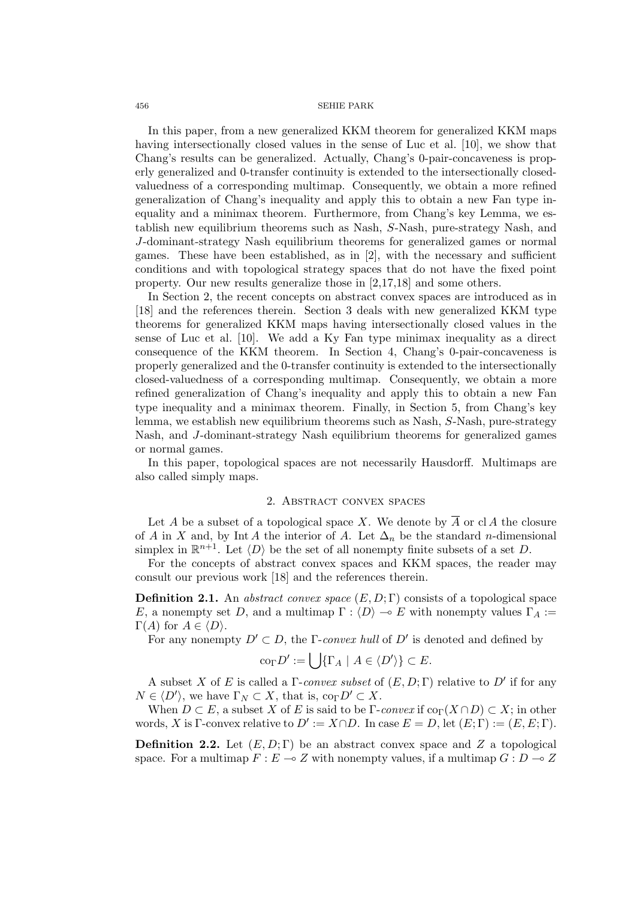In this paper, from a new generalized KKM theorem for generalized KKM maps having intersectionally closed values in the sense of Luc et al. [10], we show that Chang's results can be generalized. Actually, Chang's 0-pair-concaveness is properly generalized and 0-transfer continuity is extended to the intersectionally closedvaluedness of a corresponding multimap. Consequently, we obtain a more refined generalization of Chang's inequality and apply this to obtain a new Fan type inequality and a minimax theorem. Furthermore, from Chang's key Lemma, we establish new equilibrium theorems such as Nash, *S*-Nash, pure-strategy Nash, and *J*-dominant-strategy Nash equilibrium theorems for generalized games or normal games. These have been established, as in [2], with the necessary and sufficient conditions and with topological strategy spaces that do not have the fixed point property. Our new results generalize those in [2,17,18] and some others.

In Section 2, the recent concepts on abstract convex spaces are introduced as in [18] and the references therein. Section 3 deals with new generalized KKM type theorems for generalized KKM maps having intersectionally closed values in the sense of Luc et al. [10]. We add a Ky Fan type minimax inequality as a direct consequence of the KKM theorem. In Section 4, Chang's 0-pair-concaveness is properly generalized and the 0-transfer continuity is extended to the intersectionally closed-valuedness of a corresponding multimap. Consequently, we obtain a more refined generalization of Chang's inequality and apply this to obtain a new Fan type inequality and a minimax theorem. Finally, in Section 5, from Chang's key lemma, we establish new equilibrium theorems such as Nash, *S*-Nash, pure-strategy Nash, and *J*-dominant-strategy Nash equilibrium theorems for generalized games or normal games.

In this paper, topological spaces are not necessarily Hausdorff. Multimaps are also called simply maps.

# 2. Abstract convex spaces

Let *A* be a subset of a topological space *X*. We denote by  $\overline{A}$  or cl *A* the closure of *A* in *X* and, by Int *A* the interior of *A*. Let  $\Delta_n$  be the standard *n*-dimensional simplex in  $\mathbb{R}^{n+1}$ . Let  $\langle D \rangle$  be the set of all nonempty finite subsets of a set *D*.

For the concepts of abstract convex spaces and KKM spaces, the reader may consult our previous work [18] and the references therein.

**Definition 2.1.** An *abstract convex space* (*E, D*; Γ) consists of a topological space *E*, a nonempty set *D*, and a multimap  $\Gamma : \langle D \rangle \to E$  with nonempty values  $\Gamma_A :=$  $\Gamma(A)$  for  $A \in \langle D \rangle$ .

For any nonempty  $D' \subset D$ , the  $\Gamma$ -*convex hull* of  $D'$  is denoted and defined by

$$
\mathrm{co}_{\Gamma} D' := \bigcup \{ \Gamma_A \mid A \in \langle D' \rangle \} \subset E.
$$

A subset *X* of *E* is called a Γ-*convex subset* of (*E, D*; Γ) relative to *D′* if for any  $N \in \langle D' \rangle$ , we have  $\Gamma_N \subset X$ , that is,  $\text{co}_{\Gamma} D' \subset X$ .

When  $D \subset E$ , a subset *X* of *E* is said to be  $\Gamma$ -*convex* if  $\text{co}_{\Gamma}(X \cap D) \subset X$ ; in other words, *X* is  $\Gamma$ -convex relative to  $D' := X \cap D$ . In case  $E = D$ , let  $(E; \Gamma) := (E, E; \Gamma)$ .

**Definition 2.2.** Let  $(E, D; \Gamma)$  be an abstract convex space and Z a topological space. For a multimap  $F: E \to Z$  with nonempty values, if a multimap  $G: D \to Z$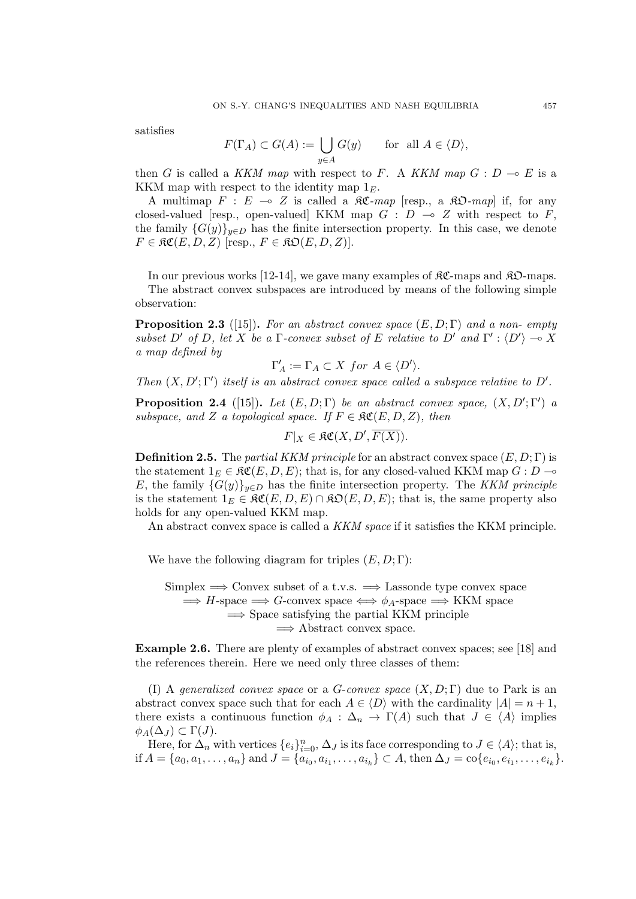satisfies

$$
F(\Gamma_A) \subset G(A) := \bigcup_{y \in A} G(y) \quad \text{for all } A \in \langle D \rangle,
$$

then *G* is called a *KKM map* with respect to *F*. A *KKM map*  $G: D \to E$  is a KKM map with respect to the identity map 1*E*.

A multimap  $F : E \multimap Z$  is called a  $\Re \mathfrak{C}$ -map [resp., a  $\Re \mathfrak{D}$ -map] if, for any closed-valued [resp., open-valued] KKM map  $G : D \multimap Z$  with respect to  $F$ , the family  ${G(y)}_{y \in D}$  has the finite intersection property. In this case, we denote  $F \in \mathfrak{RC}(E, D, Z)$  [resp.,  $F \in \mathfrak{RO}(E, D, Z)$ ].

In our previous works [12-14], we gave many examples of  $\mathcal{RC}\text{-maps}$  and  $\mathcal{RD}\text{-maps}$ . The abstract convex subspaces are introduced by means of the following simple observation:

**Proposition 2.3** ([15])**.** *For an abstract convex space* (*E, D*; Γ) *and a non- empty subset*  $D'$  *of*  $D$ *, let*  $X$  *be a*  $\Gamma$ *-convex subset of*  $E$  *relative to*  $D'$  *and*  $\Gamma'$  :  $\langle D' \rangle \rightarrow X$ *a map defined by*

$$
\Gamma'_A := \Gamma_A \subset X \text{ for } A \in \langle D' \rangle.
$$

*Then*  $(X, D'; \Gamma')$  *itself is an abstract convex space called a subspace relative to*  $D'$ .

**Proposition 2.4** ([15]). Let  $(E, D; \Gamma)$  be an abstract convex space,  $(X, D'; \Gamma')$  a *subspace, and Z a topological space.* If  $F \in \mathcal{RC}(E, D, Z)$ , then

$$
F|_X \in \mathfrak{RC}(X, D', \overline{F(X)}).
$$

**Definition 2.5.** The *partial KKM principle* for an abstract convex space (*E, D*; Γ) is the statement  $1_E \in \mathfrak{RC}(E, D, E)$ ; that is, for any closed-valued KKM map  $G : D \to$ *E*, the family  ${G(y)}_{y \in D}$  has the finite intersection property. The *KKM principle* is the statement  $1_E \in \mathfrak{RC}(E, D, E) \cap \mathfrak{RO}(E, D, E)$ ; that is, the same property also holds for any open-valued KKM map.

An abstract convex space is called a *KKM space* if it satisfies the KKM principle.

We have the following diagram for triples  $(E, D; \Gamma)$ :

Simplex =*⇒* Convex subset of a t.v.s. =*⇒* Lassonde type convex space  $\implies$  *H*-space  $\implies$  *G*-convex space  $\iff \phi_A$ -space  $\implies$  KKM space =*⇒* Space satisfying the partial KKM principle =*⇒* Abstract convex space.

**Example 2.6.** There are plenty of examples of abstract convex spaces; see [18] and the references therein. Here we need only three classes of them:

(I) A *generalized convex space* or a *G*-*convex space* (*X, D*; Γ) due to Park is an abstract convex space such that for each  $A \in \langle D \rangle$  with the cardinality  $|A| = n + 1$ , there exists a continuous function  $\phi_A : \Delta_n \to \Gamma(A)$  such that  $J \in \langle A \rangle$  implies  $\phi_A(\Delta_J) \subset \Gamma(J)$ .

Here, for  $\Delta_n$  with vertices  $\{e_i\}_{i=0}^n$ ,  $\Delta_J$  is its face corresponding to  $J \in \langle A \rangle$ ; that is, if  $A = \{a_0, a_1, \ldots, a_n\}$  and  $J = \{a_{i_0}, a_{i_1}, \ldots, a_{i_k}\} \subset A$ , then  $\Delta_J = \text{co}\{e_{i_0}, e_{i_1}, \ldots, e_{i_k}\}.$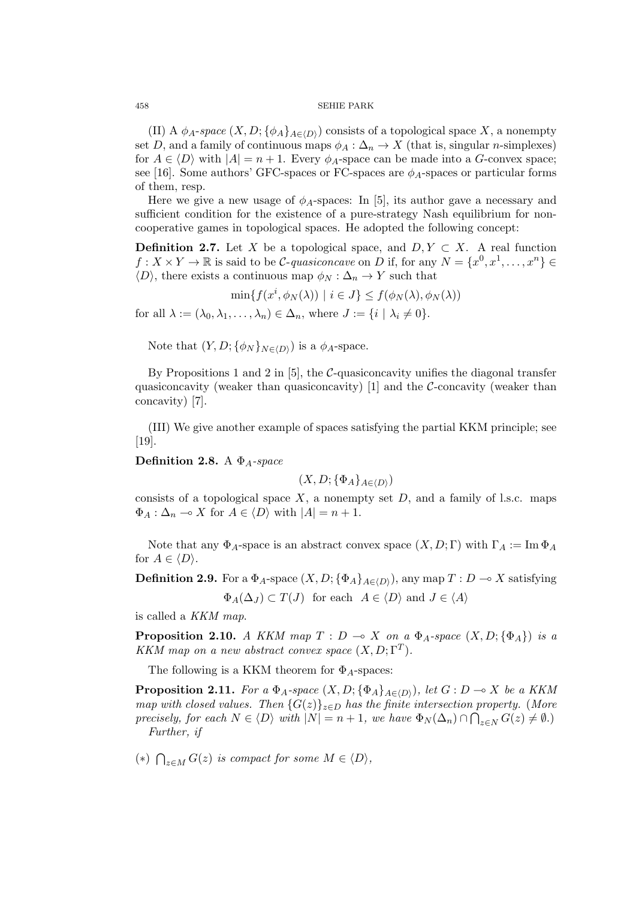(II) A  $\phi_A$ -*space*  $(X, D; {\phi_A}_{A \in \langle D \rangle})$  consists of a topological space X, a nonempty set *D*, and a family of continuous maps  $\phi_A : \Delta_n \to X$  (that is, singular *n*-simplexes) for  $A \in \langle D \rangle$  with  $|A| = n + 1$ . Every  $\phi_A$ -space can be made into a *G*-convex space; see [16]. Some authors' GFC-spaces or FC-spaces are *ϕA*-spaces or particular forms of them, resp.

Here we give a new usage of  $\phi_A$ -spaces: In [5], its author gave a necessary and sufficient condition for the existence of a pure-strategy Nash equilibrium for noncooperative games in topological spaces. He adopted the following concept:

**Definition 2.7.** Let *X* be a topological space, and  $D, Y \subset X$ . A real function  $f: X \times Y \to \mathbb{R}$  is said to be *C*-*quasiconcave* on *D* if, for any  $N = \{x^0, x^1, \ldots, x^n\} \in$  $\langle D \rangle$ , there exists a continuous map  $\phi_N : \Delta_n \to Y$  such that

 $\min\{f(x^i, \phi_N(\lambda)) \mid i \in J\} \le f(\phi_N(\lambda), \phi_N(\lambda))$ 

for all  $\lambda := (\lambda_0, \lambda_1, \ldots, \lambda_n) \in \Delta_n$ , where  $J := \{i \mid \lambda_i \neq 0\}$ .

Note that  $(Y, D; \{\phi_N\}_{N \in \langle D \rangle})$  is a  $\phi_A$ -space.

By Propositions 1 and 2 in [5], the *C*-quasiconcavity unifies the diagonal transfer quasiconcavity (weaker than quasiconcavity) [1] and the *C*-concavity (weaker than concavity) [7].

(III) We give another example of spaces satisfying the partial KKM principle; see [19].

**Definition 2.8.** A Φ*A-space*

$$
(X, D; \{\Phi_A\}_{A \in \langle D \rangle})
$$

consists of a topological space  $X$ , a nonempty set  $D$ , and a family of l.s.c. maps  $\Phi_A : \Delta_n \to X$  for  $A \in \langle D \rangle$  with  $|A| = n + 1$ .

Note that any  $\Phi_A$ -space is an abstract convex space  $(X, D; \Gamma)$  with  $\Gamma_A := \text{Im } \Phi_A$ for  $A \in \langle D \rangle$ .

**Definition 2.9.** For a  $\Phi_A$ -space  $(X, D; {\Phi_A}_{A \in (D)})$ , any map  $T: D \to X$  satisfying

 $\Phi_A(\Delta_J) \subset T(J)$  for each  $A \in \langle D \rangle$  and  $J \in \langle A \rangle$ 

is called a *KKM map*.

**Proposition 2.10.** *A KKM map*  $T: D \to X$  *on a*  $\Phi_A$ *-space*  $(X, D; {\Phi_A})$  *is a KKM map on a new abstract convex space*  $(X, D; \Gamma^T)$ *.* 

The following is a KKM theorem for  $\Phi_A$ -spaces:

**Proposition 2.11.** For a  $\Phi_A$ -space  $(X, D; {\Phi_A}_{A \in (D)})$ , let  $G: D \to X$  be a KKM *map with closed values. Then*  $\{G(z)\}_{z \in D}$  *has the finite intersection property.* (*More* precisely, for each  $N \in \langle D \rangle$  with  $|N| = n + 1$ , we have  $\Phi_N(\Delta_n) \cap \bigcap_{z \in N} G(z) \neq \emptyset$ . *Further, if*

(\*)  $\bigcap_{z \in M} G(z)$  *is compact for some*  $M \in \langle D \rangle$ *,*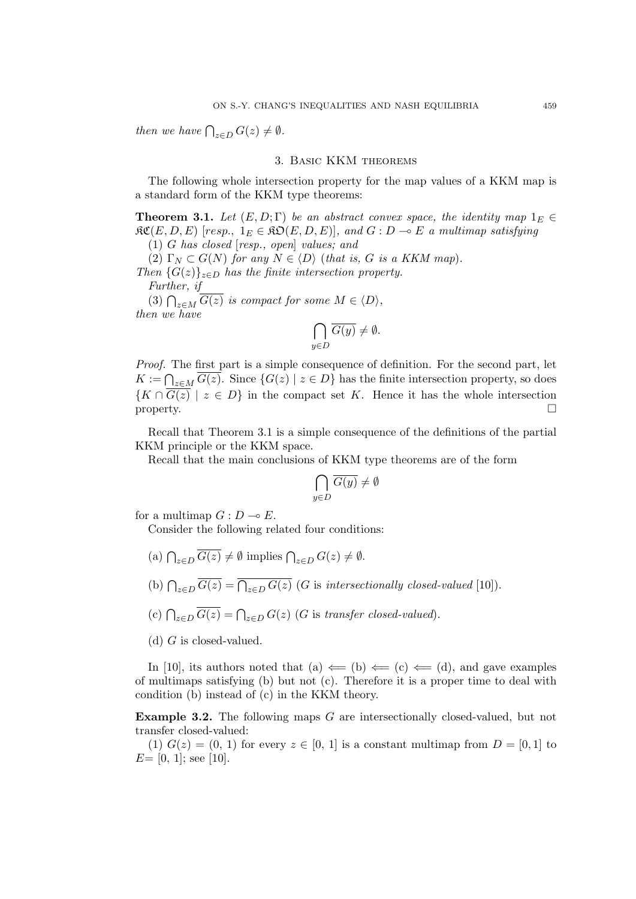*then we have*  $\bigcap_{z \in D} G(z) \neq \emptyset$ *.* 

#### 3. Basic KKM theorems

The following whole intersection property for the map values of a KKM map is a standard form of the KKM type theorems:

**Theorem 3.1.** Let  $(E, D; \Gamma)$  be an abstract convex space, the identity map  $1_E \in$  $\mathfrak{RC}(E, D, E)$  [resp.,  $1_E \in \mathfrak{RO}(E, D, E)$ ], and  $G : D \multimap E$  a multimap satisfying

(1) *G has closed* [*resp., open*] *values; and*

(2)  $\Gamma_N \subset G(N)$  for any  $N \in \langle D \rangle$  (*that is, G is a KKM map*).

*Then*  ${G(z)}_{z \in D}$  *has the finite intersection property. Further, if*

(3)  $\bigcap_{z \in M} \overline{G(z)}$  *is compact for some*  $M \in \langle D \rangle$ *, then we have*

$$
\bigcap_{y \in D} \overline{G(y)} \neq \emptyset.
$$

*Proof.* The first part is a simple consequence of definition. For the second part, let *K* :=  $\bigcap_{z \in M}$  *G*(*z*). Since {*G*(*z*) | *z* ∈ *D*} has the finite intersection property, so does  ${K \cap G(z) \mid z \in D}$  in the compact set *K*. Hence it has the whole intersection property.  $\Box$ 

Recall that Theorem 3.1 is a simple consequence of the definitions of the partial KKM principle or the KKM space.

Recall that the main conclusions of KKM type theorems are of the form

$$
\bigcap_{y \in D} \overline{G(y)} \neq \emptyset
$$

for a multimap  $G: D \to E$ .

Consider the following related four conditions:

- $\left(\text{a}\right) \bigcap_{z \in D} \overline{G(z)} \neq \emptyset \text{ implies } \bigcap_{z \in D} G(z) \neq \emptyset.$
- (b)  $\bigcap_{z \in D} \overline{G(z)} = \overline{\bigcap_{z \in D} G(z)}$  (*G* is *intersectionally closed-valued* [10]).
- (c)  $\bigcap_{z \in D} \overline{G(z)} = \bigcap_{z \in D} G(z)$  (*G* is *transfer closed-valued*).
- (d) *G* is closed-valued.

In [10], its authors noted that (a)  $\Leftarrow$  (b)  $\Leftarrow$  (c)  $\Leftarrow$  (d), and gave examples of multimaps satisfying (b) but not (c). Therefore it is a proper time to deal with condition (b) instead of (c) in the KKM theory.

**Example 3.2.** The following maps *G* are intersectionally closed-valued, but not transfer closed-valued:

(1)  $G(z) = (0, 1)$  for every  $z \in [0, 1]$  is a constant multimap from  $D = [0, 1]$  to  $E=[0, 1]$ ; see [10].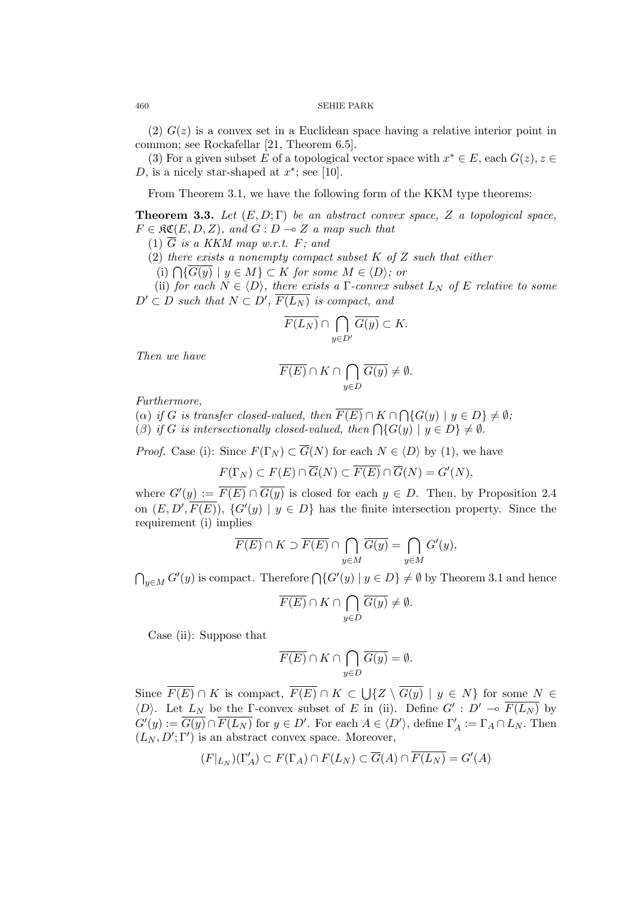$(2)$   $G(z)$  is a convex set in a Euclidean space having a relative interior point in common; see Rockafellar [21, Theorem 6.5].

(3) For a given subset *E* of a topological vector space with  $x^* \in E$ , each  $G(z)$ ,  $z \in E$ *D*, is a nicely star-shaped at  $x^*$ ; see [10].

From Theorem 3.1, we have the following form of the KKM type theorems:

**Theorem 3.3.** Let  $(E, D; \Gamma)$  be an abstract convex space, Z a topological space,  $F \in \mathfrak{RC}(E, D, Z)$ , and  $G : D \multimap Z$  *a map such that* 

(1) *G is a KKM map w.r.t. F; and*

(2) *there exists a nonempty compact subset K of Z such that either*

 $(i) \bigcap \{ \overline{G(y)} \mid y \in M \}$  ⊂ *K for some*  $M \in \langle D \rangle$ *; or* 

(ii) *for each*  $N \in \langle D \rangle$ *, there exists a*  $\Gamma$ *-convex subset*  $L_N$  *of*  $E$  *relative to some*  $D' \subset D$  *such that*  $N \subset D'$ ,  $\overline{F(L_N)}$  *is compact, and* 

$$
\overline{F(L_N)}\cap \bigcap_{y\in D'}\overline{G(y)}\subset K.
$$

*Then we have*

$$
\overline{F(E)} \cap K \cap \bigcap_{y \in D} \overline{G(y)} \neq \emptyset.
$$

*Furthermore,*

 $(\alpha)$  *if G is transfer closed-valued, then*  $\overline{F(E)} \cap K \cap \bigcap \{G(y) \mid y \in D\} \neq \emptyset$ ;

(*β*) *if G is intersectionally closed-valued, then*  $\bigcap \{G(y) \mid y \in D\} \neq \emptyset$ .

*Proof.* Case (i): Since  $F(\Gamma_N) \subset \overline{G}(N)$  for each  $N \in \langle D \rangle$  by (1), we have

 $F(\Gamma_N) \subset F(E) \cap \overline{G}(N) \subset \overline{F(E)} \cap \overline{G}(N) = G'(N),$ 

where  $G'(y) := \overline{F(E)} \cap \overline{G(y)}$  is closed for each  $y \in D$ . Then, by Proposition 2.4 on  $(E, D', \overline{F(E)})$ ,  $\{G'(y) | y \in D\}$  has the finite intersection property. Since the requirement (i) implies

$$
\overline{F(E)}\cap K\supset \overline{F(E)}\cap \bigcap_{y\in M}\overline{G(y)}=\bigcap_{y\in M}G'(y),
$$

 $\bigcap_{y \in M} G'(y)$  is compact. Therefore  $\bigcap \{G'(y) \mid y \in D\} \neq \emptyset$  by Theorem 3.1 and hence

$$
\overline{F(E)} \cap K \cap \bigcap_{y \in D} \overline{G(y)} \neq \emptyset.
$$

Case (ii): Suppose that

$$
\overline{F(E)} \cap K \cap \bigcap_{y \in D} \overline{G(y)} = \emptyset.
$$

Since  $\overline{F(E)} \cap K$  is compact,  $\overline{F(E)} \cap K \subset \bigcup \{Z \setminus \overline{G(y)} \mid y \in N\}$  for some  $N \in$  $\langle D \rangle$ . Let  $L_N$  be the Γ-convex subset of *E* in (ii). Define  $G' : D' \multimap \overline{F(L_N)}$  by  $G'(y) := \overline{G(y)} \cap \overline{F(L_N)}$  for  $y \in D'$ . For each  $A \in \langle D' \rangle$ , define  $\Gamma'_A := \Gamma_A \cap L_N$ . Then  $(L_N, D'; \Gamma')$  is an abstract convex space. Moreover,

$$
(F|_{L_N})(\Gamma'_A) \subset F(\Gamma_A) \cap F(L_N) \subset \overline{G}(A) \cap \overline{F(L_N)} = G'(A)
$$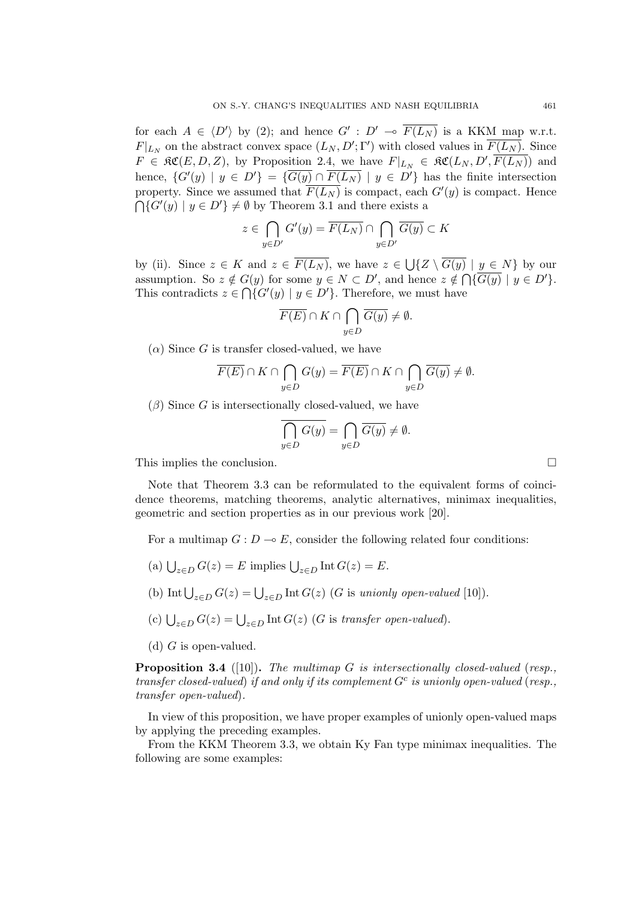for each  $A \in \langle D' \rangle$  by (2); and hence  $G' : D' \multimap \overline{F(L_N)}$  is a KKM map w.r.t. *F*<sup> $|L_N$ </sup> on the abstract convex space  $(L_N, D'; \Gamma')$  with closed values in  $\overline{F(L_N)}$ . Since  $F \in \mathfrak{RC}(E, D, Z)$ , by Proposition 2.4, we have  $F|_{L_N} \in \mathfrak{RC}(L_N, D', \overline{F(L_N)})$  and hence,  $\{G'(y) | y \in D'\} = \{\overline{G(y)} \cap \overline{F(L_N)} | y \in D'\}$  has the finite intersection property. Since we assumed that  $\overline{F(L_N)}$  is compact, each  $G'(y)$  is compact. Hence  $\bigcap$ { $G'(y) \mid y \in D'$ } ≠ Ø by Theorem 3.1 and there exists a

$$
z\in \bigcap_{y\in D'} G'(y)=\overline{F(L_N)}\cap \bigcap_{y\in D'} \overline{G(y)}\subset K
$$

by (ii). Since  $z \in K$  and  $z \in \overline{F(L_N)}$ , we have  $z \in \bigcup \{Z \setminus \overline{G(y)} \mid y \in N\}$  by our assumption. So  $z \notin G(y)$  for some  $y \in N \subset D'$ , and hence  $z \notin \bigcap {\overline{G(y)}} \mid y \in D'$ . This contradicts  $z \in \bigcap \{G'(y) \mid y \in D'\}$ . Therefore, we must have

$$
\overline{F(E)} \cap K \cap \bigcap_{y \in D} \overline{G(y)} \neq \emptyset.
$$

 $(\alpha)$  Since *G* is transfer closed-valued, we have

$$
\overline{F(E)} \cap K \cap \bigcap_{y \in D} G(y) = \overline{F(E)} \cap K \cap \bigcap_{y \in D} \overline{G(y)} \neq \emptyset.
$$

(*β*) Since *G* is intersectionally closed-valued, we have

$$
\overline{\bigcap_{y\in D} G(y)} = \bigcap_{y\in D} \overline{G(y)} \neq \emptyset.
$$

This implies the conclusion.

Note that Theorem 3.3 can be reformulated to the equivalent forms of coincidence theorems, matching theorems, analytic alternatives, minimax inequalities, geometric and section properties as in our previous work [20].

For a multimap  $G: D \to E$ , consider the following related four conditions:

- (a)  $\bigcup_{z \in D} G(z) = E$  implies  $\bigcup_{z \in D} \text{Int } G(z) = E$ .
- (b) Int  $\bigcup_{z \in D} G(z) = \bigcup_{z \in D} \text{Int } G(z)$  (*G* is *unionly open-valued* [10]).
- (c) ∪ *<sup>z</sup>∈<sup>D</sup> <sup>G</sup>*(*z*) = <sup>∪</sup> *<sup>z</sup>∈<sup>D</sup>* Int *G*(*z*) (*G* is *transfer open-valued*).
- (d) *G* is open-valued.

**Proposition 3.4** ([10])**.** *The multimap G is intersectionally closed-valued* (*resp., transfer closed-valued*) *if and only if its complement G<sup>c</sup> is unionly open-valued* (*resp., transfer open-valued*)*.*

In view of this proposition, we have proper examples of unionly open-valued maps by applying the preceding examples.

From the KKM Theorem 3.3, we obtain Ky Fan type minimax inequalities. The following are some examples: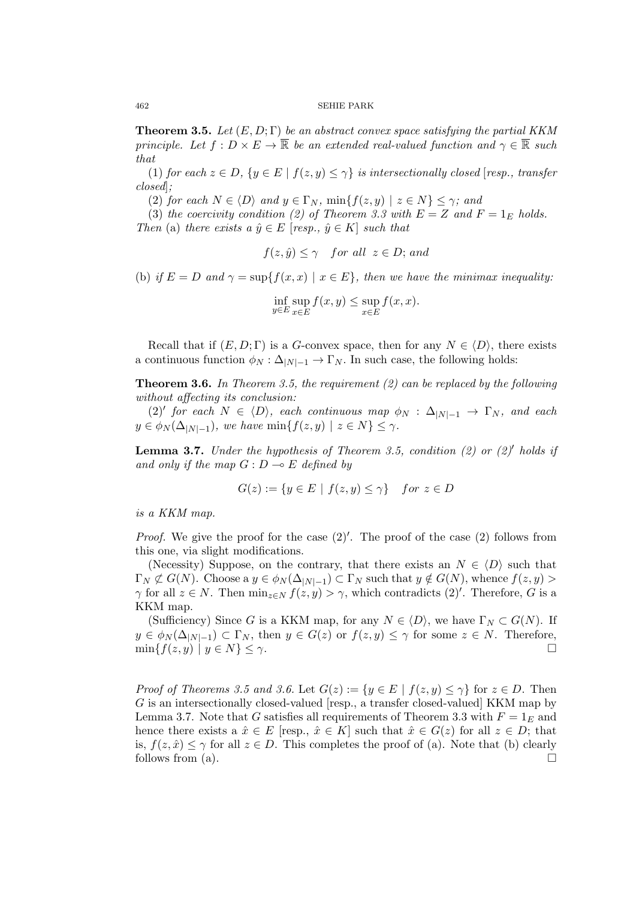**Theorem 3.5.** *Let* (*E, D*; Γ) *be an abstract convex space satisfying the partial KKM principle.* Let  $f: D \times E \to \overline{\mathbb{R}}$  *be an extended real-valued function and*  $\gamma \in \overline{\mathbb{R}}$  *such that*

(1) *for each*  $z \in D$ ,  $\{y \in E \mid f(z, y) \leq \gamma\}$  *is intersectionally closed* [*resp., transfer closed*]*;*

(2) *for each*  $N \in \langle D \rangle$  *and*  $y \in \Gamma_N$ ,  $\min\{f(z, y) \mid z \in N\} \leq \gamma$ ; *and* 

(3) *the coercivity condition (2) of Theorem 3.3 with*  $E = Z$  *and*  $F = 1_E$  *holds. Then* (a) *there exists a*  $\hat{y} \in E$  [*resp.,*  $\hat{y} \in K$ ] *such that* 

$$
f(z, \hat{y}) \leq \gamma
$$
 for all  $z \in D$ ; and

(b) *if*  $E = D$  *and*  $\gamma = \sup\{f(x, x) \mid x \in E\}$ , then we have the minimax inequality:

$$
\inf_{y \in E} \sup_{x \in E} f(x, y) \le \sup_{x \in E} f(x, x).
$$

Recall that if  $(E, D; \Gamma)$  is a *G*-convex space, then for any  $N \in \langle D \rangle$ , there exists a continuous function  $\phi_N : \Delta_{|N|-1} \to \Gamma_N$ . In such case, the following holds:

**Theorem 3.6.** *In Theorem 3.5, the requirement (2) can be replaced by the following without affecting its conclusion:*

 $(2)'$  *for each*  $N \in \langle D \rangle$ *, each continuous map*  $\phi_N : \Delta_{|N|-1} \to \Gamma_N$ *, and each*  $y \in \phi_N(\Delta_{|N|-1})$ *, we have*  $\min\{f(z, y) \mid z \in N\} \leq \gamma$ *.* 

**Lemma 3.7.** *Under the hypothesis of Theorem 3.5, condition (2) or (2)′ holds if and only if the map*  $G: D \to E$  *defined by* 

$$
G(z) := \{ y \in E \mid f(z, y) \le \gamma \} \quad for \ z \in D
$$

*is a KKM map.*

*Proof.* We give the proof for the case  $(2)'$ . The proof of the case  $(2)$  follows from this one, via slight modifications.

(Necessity) Suppose, on the contrary, that there exists an  $N \in \langle D \rangle$  such that  $\Gamma_N \not\subset G(N)$ . Choose a  $y \in \phi_N(\Delta_{|N|-1}) \subset \Gamma_N$  such that  $y \notin G(N)$ , whence  $f(z, y)$ *γ* for all  $z \in N$ . Then  $\min_{z \in N} f(z, y) > \gamma$ , which contradicts  $(2)'$ . Therefore, *G* is a KKM map.

(Sufficiency) Since *G* is a KKM map, for any  $N \in \langle D \rangle$ , we have  $\Gamma_N \subset G(N)$ . If  $y \in \phi_N(\Delta_{|N|-1}) \subset \Gamma_N$ , then  $y \in G(z)$  or  $f(z, y) \leq \gamma$  for some  $z \in N$ . Therefore,  $\min\{f(z, y) \mid y \in N\} \leq \gamma.$ 

*Proof of Theorems 3.5 and 3.6.* Let  $G(z) := \{y \in E \mid f(z, y) \leq \gamma\}$  for  $z \in D$ . Then *G* is an intersectionally closed-valued [resp., a transfer closed-valued] KKM map by Lemma 3.7. Note that *G* satisfies all requirements of Theorem 3.3 with  $F = 1_E$  and hence there exists a  $\hat{x} \in E$  [resp.,  $\hat{x} \in K$ ] such that  $\hat{x} \in G(z)$  for all  $z \in D$ ; that is,  $f(z, \hat{x}) \leq \gamma$  for all  $z \in D$ . This completes the proof of (a). Note that (b) clearly follows from (a).  $\Box$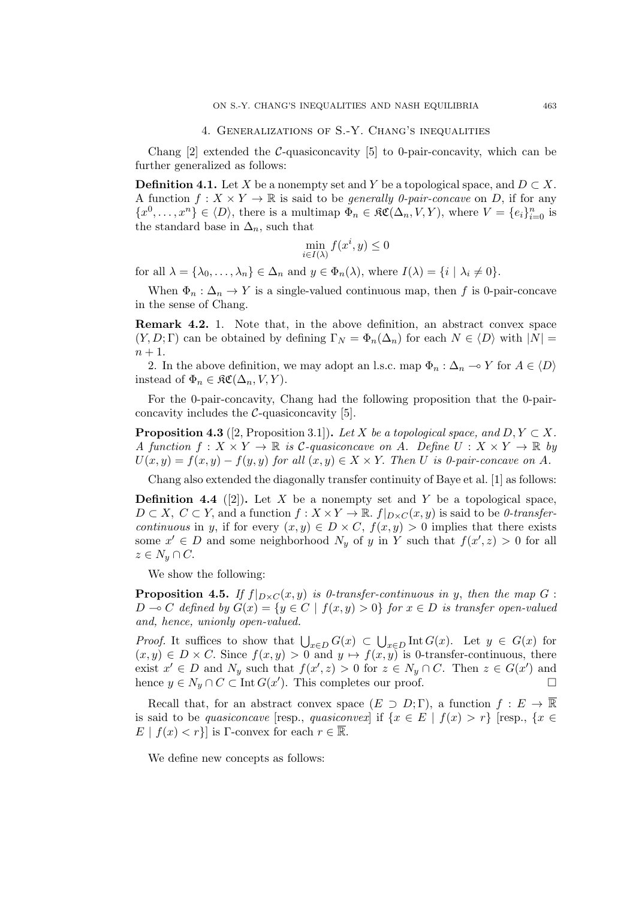# 4. Generalizations of S.-Y. Chang's inequalities

Chang [2] extended the *C*-quasiconcavity [5] to 0-pair-concavity, which can be further generalized as follows:

**Definition 4.1.** Let *X* be a nonempty set and *Y* be a topological space, and  $D \subset X$ . A function  $f: X \times Y \to \mathbb{R}$  is said to be *generally 0-pair-concave* on *D*, if for any  ${x^0, \ldots, x^n} \in \langle D \rangle$ , there is a multimap  $\Phi_n \in \mathfrak{RC}(\Delta_n, V, Y)$ , where  $V = \{e_i\}_{i=0}^n$  is the standard base in  $\Delta_n$ , such that

$$
\min_{i \in I(\lambda)} f(x^i, y) \le 0
$$

for all  $\lambda = {\lambda_0, \ldots, \lambda_n} \in \Delta_n$  and  $y \in \Phi_n(\lambda)$ , where  $I(\lambda) = {i | \lambda_i \neq 0}$ .

When  $\Phi_n : \Delta_n \to Y$  is a single-valued continuous map, then f is 0-pair-concave in the sense of Chang.

**Remark 4.2.** 1. Note that, in the above definition, an abstract convex space  $(Y, D; \Gamma)$  can be obtained by defining  $\Gamma_N = \Phi_n(\Delta_n)$  for each  $N \in \langle D \rangle$  with  $|N| =$  $n + 1$ .

2. In the above definition, we may adopt an l.s.c. map  $\Phi_n : \Delta_n \to Y$  for  $A \in \langle D \rangle$ instead of  $\Phi_n \in \mathfrak{RC}(\Delta_n, V, Y)$ .

For the 0-pair-concavity, Chang had the following proposition that the 0-pairconcavity includes the *C*-quasiconcavity [5].

**Proposition 4.3** ([2, Proposition 3.1]). *Let*  $X$  *be a topological space, and*  $D, Y \subset X$ *. A* function  $f: X \times Y \to \mathbb{R}$  is *C*-quasiconcave on *A*. Define  $U: X \times Y \to \mathbb{R}$  by  $U(x, y) = f(x, y) - f(y, y)$  *for all*  $(x, y) \in X \times Y$ . *Then U is 0-pair-concave on A*.

Chang also extended the diagonally transfer continuity of Baye et al. [1] as follows:

**Definition 4.4** ([2]). Let *X* be a nonempty set and *Y* be a topological space,  $D \subset X$ ,  $C \subset Y$ , and a function  $f: X \times Y \to \mathbb{R}$ .  $f|_{D \times C}(x, y)$  is said to be *0-transfercontinuous* in *y*, if for every  $(x, y) \in D \times C$ ,  $f(x, y) > 0$  implies that there exists some  $x' \in D$  and some neighborhood  $N_y$  of *y* in *Y* such that  $f(x', z) > 0$  for all  $z \in N_y \cap C$ .

We show the following:

**Proposition 4.5.** If  $f|_{D \times C}(x, y)$  is 0-transfer-continuous in *y*, then the map  $G$ : *D* → *C* defined by  $G(x) = \{y \in C \mid f(x, y) > 0\}$  for  $x \in D$  is transfer open-valued *and, hence, unionly open-valued.*

*Proof.* It suffices to show that  $\bigcup_{x \in D} G(x) \subset \bigcup_{x \in D} \text{Int } G(x)$ . Let  $y \in G(x)$  for  $(x, y) \in D \times C$ . Since  $f(x, y) > 0$  and  $y \mapsto f(x, y)$  is 0-transfer-continuous, there exist  $x' \in D$  and  $N_y$  such that  $f(x', z) > 0$  for  $z \in N_y \cap C$ . Then  $z \in G(x')$  and hence  $y \in N_y \cap C \subset \text{Int } G(x')$ . This completes our proof. □

Recall that, for an abstract convex space  $(E \supset D; \Gamma)$ , a function  $f : E \to \overline{\mathbb{R}}$ is said to be *quasiconcave* [resp., *quasiconvex*] if  $\{x \in E \mid f(x) > r\}$  [resp.,  $\{x \in E \mid f(x) > r\}$ ]  $E | f(x) < r$ } is Γ-convex for each  $r \in \mathbb{R}$ .

We define new concepts as follows: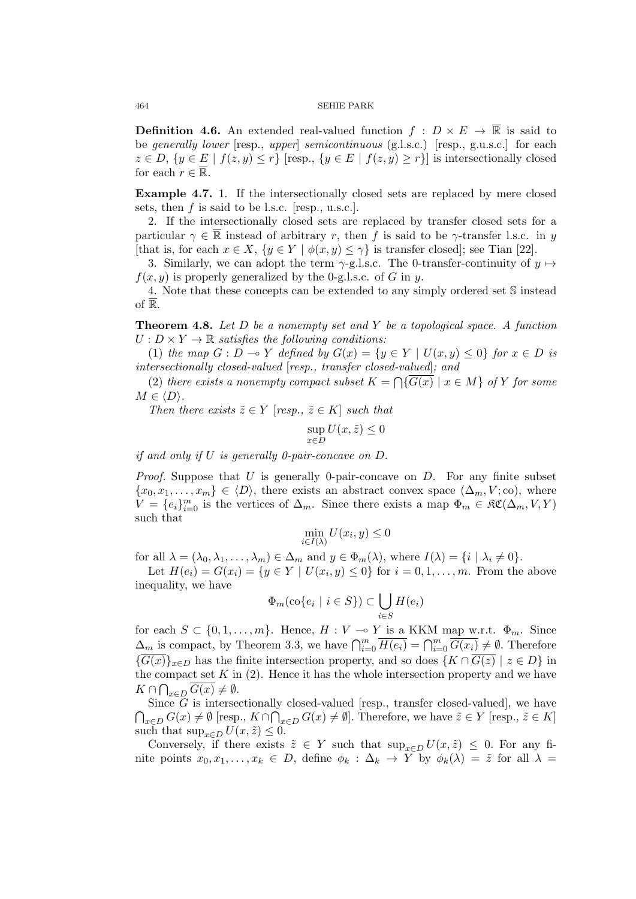**Definition 4.6.** An extended real-valued function  $f : D \times E \to \overline{\mathbb{R}}$  is said to be *generally lower* [resp., *upper*] *semicontinuous* (g.l.s.c.) [resp., g.u.s.c.] for each  $z \in D, \{y \in E \mid f(z, y) \leq r\}$  [resp.,  $\{y \in E \mid f(z, y) \geq r\}$ ] is intersectionally closed for each  $r \in \overline{\mathbb{R}}$ .

**Example 4.7.** 1. If the intersectionally closed sets are replaced by mere closed sets, then *f* is said to be l.s.c. [resp., u.s.c.].

2. If the intersectionally closed sets are replaced by transfer closed sets for a particular  $\gamma \in \mathbb{R}$  instead of arbitrary *r*, then *f* is said to be  $\gamma$ -transfer l.s.c. in *y* [that is, for each  $x \in X$ ,  $\{y \in Y \mid \phi(x, y) \leq \gamma\}$  is transfer closed]; see Tian [22].

3. Similarly, we can adopt the term  $\gamma$ -g.l.s.c. The 0-transfer-continuity of  $y \mapsto$  $f(x, y)$  is properly generalized by the 0-g.l.s.c. of *G* in *y*.

4. Note that these concepts can be extended to any simply ordered set S instead of  $\overline{\mathbb{R}}$ .

**Theorem 4.8.** *Let D be a nonempty set and Y be a topological space. A function*  $U: D \times Y \to \mathbb{R}$  *satisfies the following conditions:* 

(1) *the map*  $G: D \to Y$  *defined by*  $G(x) = \{y \in Y \mid U(x, y) \le 0\}$  *for*  $x \in D$  *is intersectionally closed-valued* [*resp., transfer closed-valued*]*; and*

(2) *there exists a nonempty compact subset*  $K = \bigcap \{ \overline{G(x)} \mid x \in M \}$  *of*  $Y$  *for some*  $M \in \langle D \rangle$ *.* 

*Then there exists*  $\tilde{z} \in Y$  [*resp.,*  $\tilde{z} \in K$ ] *such that* 

$$
\sup_{x \in D} U(x, \tilde{z}) \le 0
$$

*if and only if U is generally 0-pair-concave on D.*

*Proof.* Suppose that *U* is generally 0-pair-concave on *D*. For any finite subset  ${x_0, x_1, \ldots, x_m} \in \langle D \rangle$ , there exists an abstract convex space  $(\Delta_m, V; \text{co})$ , where  $\hat{V} = \{e_i\}_{i=0}^m$  is the vertices of  $\Delta_m$ . Since there exists a map  $\Phi_m \in \mathfrak{RC}(\Delta_m, V, Y)$ such that

$$
\min_{i \in I(\lambda)} U(x_i, y) \le 0
$$

for all  $\lambda = (\lambda_0, \lambda_1, \dots, \lambda_m) \in \Delta_m$  and  $y \in \Phi_m(\lambda)$ , where  $I(\lambda) = \{i \mid \lambda_i \neq 0\}$ .

Let  $H(e_i) = G(x_i) = \{ y \in Y \mid U(x_i, y) \le 0 \}$  for  $i = 0, 1, ..., m$ . From the above inequality, we have

$$
\Phi_m(\text{co}\{e_i \mid i \in S\}) \subset \bigcup_{i \in S} H(e_i)
$$

for each  $S \subset \{0, 1, \ldots, m\}$ . Hence,  $H : V \to Y$  is a KKM map w.r.t.  $\Phi_m$ . Since  $\Delta_m$  is compact, by Theorem 3.3, we have  $\bigcap_{i=0}^m \overline{H(e_i)} = \bigcap_{i=0}^m \overline{G(x_i)} \neq \emptyset$ . Therefore  $\{\overline{G(x)}\}_x \in D$  has the finite intersection property, and so does  $\{K \cap \overline{G(z)} \mid z \in D\}$  in the compact set  $K$  in  $(2)$ . Hence it has the whole intersection property and we have *K* ∩  $\bigcap_{x \in D}$   $\overline{G(x)} \neq \emptyset$ *.* 

Since *G* is intersectionally closed-valued [resp., transfer closed-valued], we have  $\bigcap_{x\in D} G(x) \neq \emptyset$  [resp.,  $K \cap \bigcap_{x\in D} G(x) \neq \emptyset$ ]. Therefore, we have  $\tilde{z} \in Y$  [resp.,  $\tilde{z} \in K$ ] such that  $\sup_{x \in D} U(x, \tilde{z}) \leq 0$ .

Conversely, if there exists  $\tilde{z} \in Y$  such that  $\sup_{x \in D} U(x, \tilde{z}) \leq 0$ . For any finite points  $x_0, x_1, \ldots, x_k \in D$ , define  $\phi_k : \Delta_k \to Y$  by  $\phi_k(\lambda) = \tilde{z}$  for all  $\lambda =$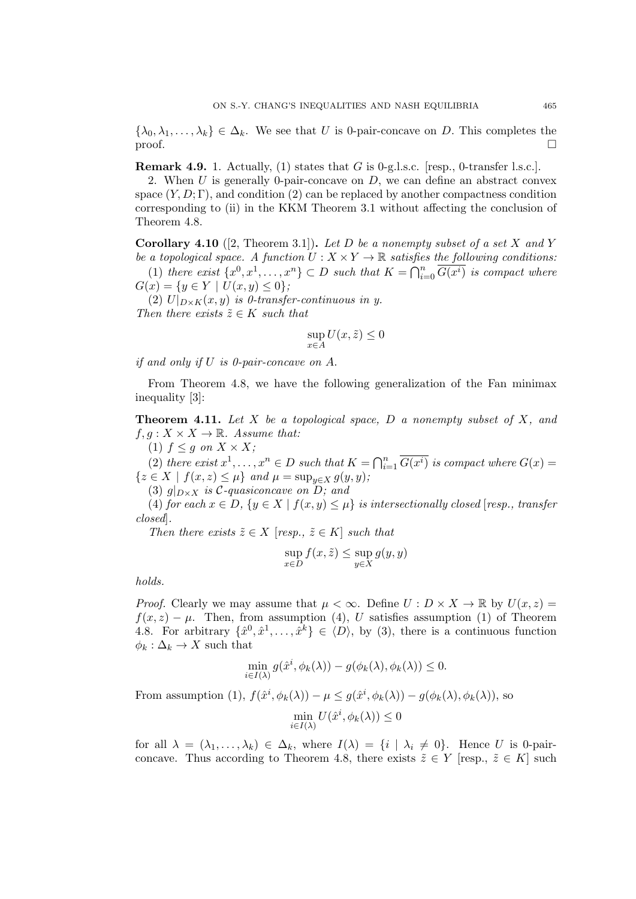$\{\lambda_0, \lambda_1, \ldots, \lambda_k\} \in \Delta_k$ . We see that *U* is 0-pair-concave on *D*. This completes the proof.

**Remark 4.9.** 1. Actually, (1) states that *G* is 0-g.l.s.c. [resp., 0-transfer l.s.c.].

2. When *U* is generally 0-pair-concave on *D*, we can define an abstract convex space  $(Y, D; \Gamma)$ , and condition (2) can be replaced by another compactness condition corresponding to (ii) in the KKM Theorem 3.1 without affecting the conclusion of Theorem 4.8.

**Corollary 4.10** ([2, Theorem 3.1])**.** *Let D be a nonempty subset of a set X and Y be a topological space.* A function  $U: X \times Y \to \mathbb{R}$  satisfies the following conditions:

(1) *there exist*  $\{x^0, x^1, \ldots, x^n\} \subset D$  *such that*  $K = \bigcap_{i=0}^n \overline{G(x^i)}$  *is compact where*  $G(x) = \{y \in Y \mid U(x, y) \leq 0\}$ ;

(2)  $U|_{D\times K}(x,y)$  *is 0-transfer-continuous in y. Then there exists*  $\tilde{z} \in K$  *such that* 

$$
\sup_{x \in A} U(x, \tilde{z}) \le 0
$$

*if and only if U is 0-pair-concave on A.*

From Theorem 4.8, we have the following generalization of the Fan minimax inequality [3]:

**Theorem 4.11.** *Let X be a topological space, D a nonempty subset of X, and*  $f, g: X \times X \rightarrow \mathbb{R}$ . Assume that:

(1)  $f \leq g$  on  $X \times X$ ;

(2) *there exist*  $x^1, \ldots, x^n \in D$  *such that*  $K = \bigcap_{i=1}^n \overline{G(x^i)}$  *is compact where*  $G(x) =$  $\{z \in X \mid f(x, z) \leq \mu\}$  *and*  $\mu = \sup_{y \in X} g(y, y)$ ;

(3)  $g|_{D\times X}$  *is*  $C$ -quasiconcave on  $D$ *;* and

(4) *for each*  $x \in D$ ,  $\{y \in X \mid f(x, y) \leq \mu\}$  *is intersectionally closed* [*resp., transfer closed*]*.*

*Then there exists*  $\tilde{z} \in X$  [*resp.,*  $\tilde{z} \in K$ ] *such that* 

$$
\sup_{x \in D} f(x, \tilde{z}) \le \sup_{y \in X} g(y, y)
$$

*holds.*

*Proof.* Clearly we may assume that  $\mu < \infty$ . Define  $U: D \times X \to \mathbb{R}$  by  $U(x, z) =$  $f(x, z) - \mu$ . Then, from assumption (4), *U* satisfies assumption (1) of Theorem 4.8. For arbitrary  $\{\hat{x}^0, \hat{x}^1, \dots, \hat{x}^k\} \in \langle D \rangle$ , by (3), there is a continuous function  $\phi_k : \Delta_k \to X$  such that

$$
\min_{i \in I(\lambda)} g(\hat{x}^i, \phi_k(\lambda)) - g(\phi_k(\lambda), \phi_k(\lambda)) \le 0.
$$

From assumption (1),  $f(\hat{x}^i, \phi_k(\lambda)) - \mu \leq g(\hat{x}^i, \phi_k(\lambda)) - g(\phi_k(\lambda), \phi_k(\lambda))$ , so

$$
\min_{i \in I(\lambda)} U(\hat{x}^i, \phi_k(\lambda)) \le 0
$$

for all  $\lambda = (\lambda_1, \ldots, \lambda_k) \in \Delta_k$ , where  $I(\lambda) = \{i \mid \lambda_i \neq 0\}$ . Hence *U* is 0-pairconcave. Thus according to Theorem 4.8, there exists  $\tilde{z} \in Y$  [resp.,  $\tilde{z} \in K$ ] such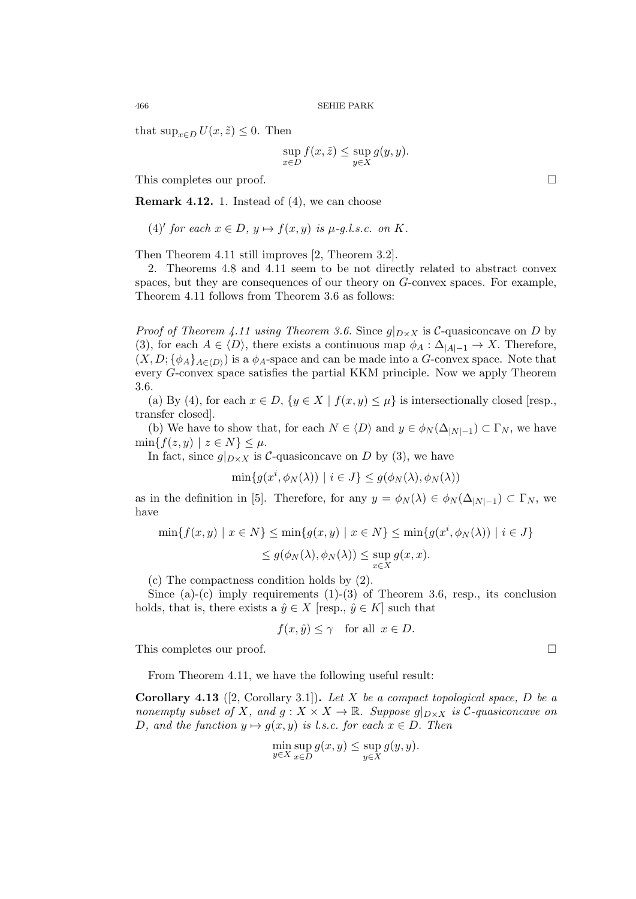that  $\sup_{x \in D} U(x, \tilde{z}) \leq 0$ . Then

$$
\sup_{x \in D} f(x, \tilde{z}) \le \sup_{y \in X} g(y, y).
$$

This completes our proof.  $\Box$ 

**Remark 4.12.** 1. Instead of (4), we can choose

 $(4)'$  *for each*  $x \in D$ *,*  $y \mapsto f(x, y)$  *is*  $\mu$ -g*.l.s.c. on K.* 

Then Theorem 4.11 still improves [2, Theorem 3.2].

2. Theorems 4.8 and 4.11 seem to be not directly related to abstract convex spaces, but they are consequences of our theory on *G*-convex spaces. For example, Theorem 4.11 follows from Theorem 3.6 as follows:

*Proof of Theorem 4.11 using Theorem 3.6.* Since  $g|_{D\times X}$  is *C*-quasiconcave on *D* by (3), for each  $A \in \langle D \rangle$ , there exists a continuous map  $\phi_A : \Delta_{|A|-1} \to X$ . Therefore,  $(X, D; {\phi_A}_{A \in (D)})$  is a  $\phi_A$ -space and can be made into a *G*-convex space. Note that every *G*-convex space satisfies the partial KKM principle. Now we apply Theorem 3.6.

(a) By (4), for each  $x \in D$ ,  $\{y \in X \mid f(x, y) \leq \mu\}$  is intersectionally closed [resp., transfer closed].

(b) We have to show that, for each  $N \in \langle D \rangle$  and  $y \in \phi_N(\Delta_{|N|-1}) \subset \Gamma_N$ , we have  $\min\{f(z, y) \mid z \in N\} \leq \mu.$ 

In fact, since  $g|_{D\times X}$  is *C*-quasiconcave on *D* by (3), we have

$$
\min\{g(x^i, \phi_N(\lambda)) \mid i \in J\} \le g(\phi_N(\lambda), \phi_N(\lambda))
$$

as in the definition in [5]. Therefore, for any  $y = \phi_N(\lambda) \in \phi_N(\Delta_{|N|-1}) \subset \Gamma_N$ , we have

$$
\min\{f(x,y) \mid x \in N\} \le \min\{g(x,y) \mid x \in N\} \le \min\{g(x^i, \phi_N(\lambda)) \mid i \in J\}
$$
  

$$
\le g(\phi_N(\lambda), \phi_N(\lambda)) \le \sup_{x \in X} g(x,x).
$$

(c) The compactness condition holds by (2).

Since (a)-(c) imply requirements  $(1)-(3)$  of Theorem 3.6, resp., its conclusion holds, that is, there exists a  $\hat{y} \in X$  [resp.,  $\hat{y} \in K$ ] such that

 $f(x, \hat{y}) \leq \gamma$  for all  $x \in D$ .

This completes our proof.

From Theorem 4.11, we have the following useful result:

**Corollary 4.13** ([2, Corollary 3.1])**.** *Let X be a compact topological space, D be a nonempty subset of X, and*  $g: X \times X \to \mathbb{R}$ *. Suppose*  $g|_{D \times X}$  *is C*-*quasiconcave on D,* and the function  $y \mapsto q(x, y)$  *is l.s.c. for each*  $x \in D$ *. Then* 

$$
\min_{y \in X} \sup_{x \in D} g(x, y) \le \sup_{y \in X} g(y, y).
$$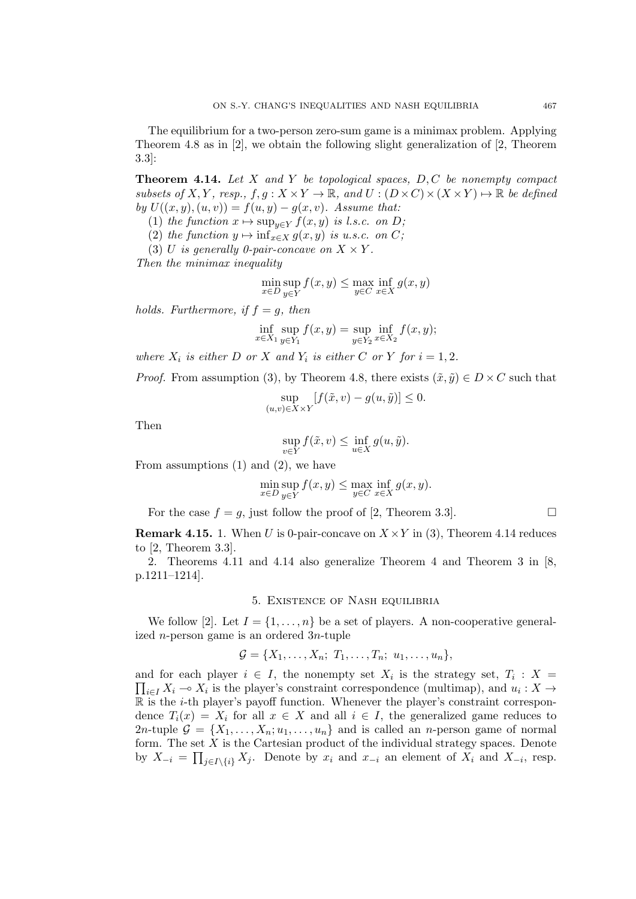**Theorem 4.14.** *Let X and Y be topological spaces, D, C be nonempty compact subsets of*  $X, Y$ *, resp.,*  $f, g: X \times Y \to \mathbb{R}$ *, and*  $U: (D \times C) \times (X \times Y) \to \mathbb{R}$  *be defined by*  $U((x, y), (u, v)) = f(u, y) - g(x, v)$ *. Assume that:* 

- (1) *the function*  $x \mapsto \sup_{y \in Y} f(x, y)$  *is l.s.c. on D*;
- (2) *the function*  $y \mapsto \inf_{x \in X} g(x, y)$  *is u.s.c. on C*;
- (3) *U* is generally 0-pair-concave on  $X \times Y$ .

*Then the minimax inequality*

$$
\min_{x \in D} \sup_{y \in Y} f(x, y) \le \max_{y \in C} \inf_{x \in X} g(x, y)
$$

*holds. Furthermore, if*  $f = g$ *, then* 

$$
\inf_{x \in X_1} \sup_{y \in Y_1} f(x, y) = \sup_{y \in Y_2} \inf_{x \in X_2} f(x, y);
$$

*where*  $X_i$  *is either*  $D$  *or*  $X$  *and*  $Y_i$  *is either*  $C$  *or*  $Y$  *for*  $i = 1, 2$ *.* 

*Proof.* From assumption (3), by Theorem 4.8, there exists  $(\tilde{x}, \tilde{y}) \in D \times C$  such that

$$
\sup_{(u,v)\in X\times Y} [f(\tilde{x}, v) - g(u, \tilde{y})] \le 0.
$$

Then

$$
\sup_{v \in Y} f(\tilde{x}, v) \le \inf_{u \in X} g(u, \tilde{y}).
$$

From assumptions  $(1)$  and  $(2)$ , we have

$$
\min_{x \in D} \sup_{y \in Y} f(x, y) \le \max_{y \in C} \inf_{x \in X} g(x, y).
$$

For the case  $f = g$ , just follow the proof of [2, Theorem 3.3].

**Remark 4.15.** 1. When *U* is 0-pair-concave on  $X \times Y$  in (3), Theorem 4.14 reduces to [2, Theorem 3.3].

2. Theorems 4.11 and 4.14 also generalize Theorem 4 and Theorem 3 in [8, p.1211–1214].

# 5. Existence of Nash equilibria

We follow [2]. Let  $I = \{1, \ldots, n\}$  be a set of players. A non-cooperative generalized *n*-person game is an ordered 3*n*-tuple

$$
\mathcal{G} = \{X_1,\ldots,X_n;\ T_1,\ldots,T_n;\ u_1,\ldots,u_n\},\
$$

and for each player  $i \in I$ , the nonempty set  $X_i$  is the strategy set,  $T_i : X =$  $\prod_{i \in I} X_i$  →  $X_i$  is the player's constraint correspondence (multimap), and  $u_i: X \rightarrow$ R is the *i*-th player's payoff function. Whenever the player's constraint correspondence  $T_i(x) = X_i$  for all  $x \in X$  and all  $i \in I$ , the generalized game reduces to 2*n*-tuple  $\mathcal{G} = \{X_1, \ldots, X_n; u_1, \ldots, u_n\}$  and is called an *n*-person game of normal form. The set *X* is the Cartesian product of the individual strategy spaces. Denote by  $X_{-i} = \prod_{j \in I \setminus \{i\}} X_j$ . Denote by  $x_i$  and  $x_{-i}$  an element of  $X_i$  and  $X_{-i}$ , resp.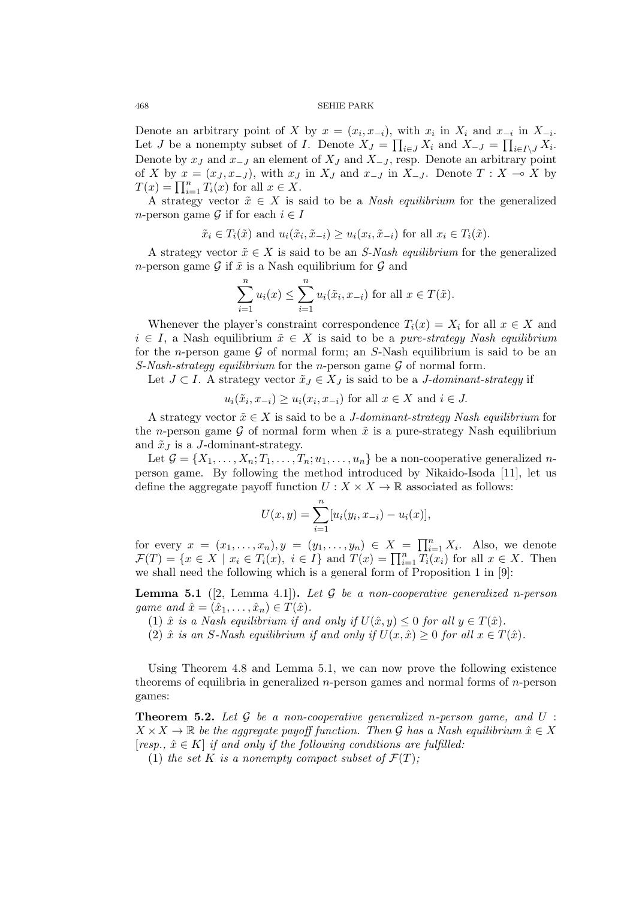Denote an arbitrary point of *X* by  $x = (x_i, x_{-i})$ , with  $x_i$  in  $X_i$  and  $x_{-i}$  in  $X_{-i}$ . Let *J* be a nonempty subset of *I*. Denote  $X_J = \prod_{i \in J} X_i$  and  $X_{-J} = \prod_{i \in I \setminus J} X_i$ . Denote by  $x_j$  and  $x_{-j}$  an element of  $X_j$  and  $X_{-j}$ , resp. Denote an arbitrary point of *X* by  $x = (x_J, x_{-J})$ , with  $x_J$  in  $X_J$  and  $x_{-J}$  in  $X_{-J}$ . Denote  $T : X \to X$  by  $T(x) = \prod_{i=1}^{n} T_i(x)$  for all  $x \in X$ .

A strategy vector  $\tilde{x} \in X$  is said to be a *Nash equilibrium* for the generalized *n*-person game  $\mathcal{G}$  if for each  $i \in I$ 

$$
\tilde{x}_i \in T_i(\tilde{x})
$$
 and  $u_i(\tilde{x}_i, \tilde{x}_{-i}) \geq u_i(x_i, \tilde{x}_{-i})$  for all  $x_i \in T_i(\tilde{x})$ .

A strategy vector  $\tilde{x} \in X$  is said to be an *S-Nash equilibrium* for the generalized *n*-person game *G* if  $\tilde{x}$  is a Nash equilibrium for *G* and

$$
\sum_{i=1}^{n} u_i(x) \le \sum_{i=1}^{n} u_i(\tilde{x}_i, x_{-i})
$$
 for all  $x \in T(\tilde{x})$ .

Whenever the player's constraint correspondence  $T_i(x) = X_i$  for all  $x \in X$  and  $i \in I$ , a Nash equilibrium  $\tilde{x} \in X$  is said to be a *pure-strategy Nash equilibrium* for the *n*-person game *G* of normal form; an *S*-Nash equilibrium is said to be an *S-Nash-strategy equilibrium* for the *n*-person game *G* of normal form.

Let *J* ⊂ *I*. A strategy vector  $\tilde{x}_J$  ∈  $X_J$  is said to be a *J-dominant-strategy* if

 $u_i(\tilde{x}_i, x_{-i}) \geq u_i(x_i, x_{-i})$  for all  $x \in X$  and  $i \in J$ .

A strategy vector  $\tilde{x} \in X$  is said to be a *J-dominant-strategy Nash equilibrium* for the *n*-person game  $\mathcal G$  of normal form when  $\tilde x$  is a pure-strategy Nash equilibrium and  $\tilde{x}_J$  is a *J*-dominant-strategy.

Let  $\mathcal{G} = \{X_1, \ldots, X_n; T_1, \ldots, T_n; u_1, \ldots, u_n\}$  be a non-cooperative generalized *n*person game. By following the method introduced by Nikaido-Isoda [11], let us define the aggregate payoff function  $U: X \times X \to \mathbb{R}$  associated as follows:

$$
U(x, y) = \sum_{i=1}^{n} [u_i(y_i, x_{-i}) - u_i(x)],
$$

for every  $x = (x_1, \ldots, x_n), y = (y_1, \ldots, y_n) \in X = \prod_{i=1}^n X_i$ . Also, we denote  $\mathcal{F}(T) = \{x \in X \mid x_i \in T_i(x), i \in I\}$  and  $T(x) = \prod_{i=1}^n T_i(x_i)$  for all  $x \in X$ . Then we shall need the following which is a general form of Proposition 1 in [9]:

**Lemma 5.1** ([2, Lemma 4.1])**.** *Let G be a non-cooperative generalized n-person game and*  $\hat{x} = (\hat{x}_1, \dots, \hat{x}_n) \in T(\hat{x})$ .

(1)  $\hat{x}$  *is a Nash equilibrium if and only if*  $U(\hat{x}, y) \leq 0$  *for all*  $y \in T(\hat{x})$ *.* 

(2)  $\hat{x}$  *is an S*-Nash equilibrium if and only if  $U(x, \hat{x}) \geq 0$  for all  $x \in T(\hat{x})$ .

Using Theorem 4.8 and Lemma 5.1, we can now prove the following existence theorems of equilibria in generalized *n*-person games and normal forms of *n*-person games:

**Theorem 5.2.** *Let G be a non-cooperative generalized n-person game, and U* :  $X \times X \to \mathbb{R}$  *be the aggregate payoff function. Then G has a Nash equilibrium*  $\hat{x} \in X$  $[resp., \hat{x} \in K]$  *if and only if the following conditions are fulfilled:* 

(1) *the set*  $K$  *is a nonempty compact subset of*  $\mathcal{F}(T)$ *;*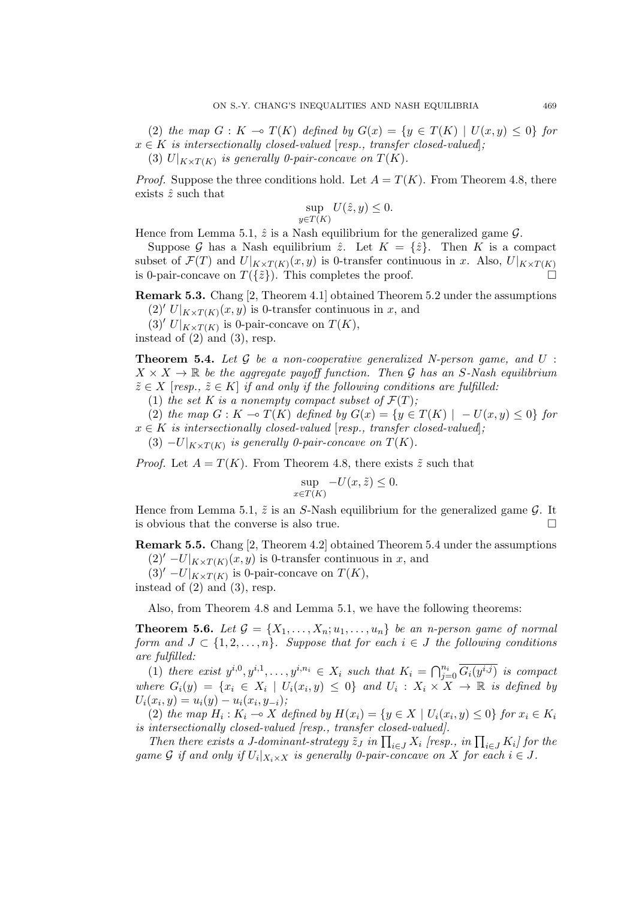(2) *the map*  $G: K \to T(K)$  *defined by*  $G(x) = \{y \in T(K) \mid U(x, y) \leq 0\}$  *for*  $x \in K$  *is intersectionally closed-valued* [*resp., transfer closed-valued*]*;* (3)  $U|_{K \times T(K)}$  is generally 0-pair-concave on  $T(K)$ .

*Proof.* Suppose the three conditions hold. Let  $A = T(K)$ . From Theorem 4.8, there exists ˆ*z* such that

$$
\sup_{y \in T(K)} U(\hat{z}, y) \le 0.
$$

Hence from Lemma 5.1,  $\hat{z}$  is a Nash equilibrium for the generalized game  $\mathcal{G}$ .

Suppose *G* has a Nash equilibrium  $\hat{z}$ . Let  $K = {\hat{z}}$ . Then *K* is a compact subset of  $\mathcal{F}(T)$  and  $U|_{K\times T(K)}(x,y)$  is 0-transfer continuous in *x*. Also,  $U|_{K\times T(K)}$ is 0-pair-concave on  $T({\tilde{z}})$ . This completes the proof.

**Remark 5.3.** Chang [2, Theorem 4.1] obtained Theorem 5.2 under the assumptions  $(2)'$  *U*| $_{K \times T(K)}(x, y)$  is 0-transfer continuous in *x*, and

 $(T|K)$ <sup>*v*</sup>  $U|_{K \times T(K)}$  is 0-pair-concave on  $T(K)$ ,

instead of  $(2)$  and  $(3)$ , resp.

**Theorem 5.4.** *Let G be a non-cooperative generalized N-person game, and U* :  $X \times X \rightarrow \mathbb{R}$  *be the aggregate payoff function. Then G has an S-Nash equilibrium*  $\tilde{z} \in X$  [resp.,  $\tilde{z} \in K$ ] *if and only if the following conditions are fulfilled:* 

(1) the set K is a nonempty compact subset of  $\mathcal{F}(T)$ ;

(2) *the map*  $G: K \to T(K)$  *defined by*  $G(x) = \{y \in T(K) | -U(x, y) \le 0\}$  *for*  $x \in K$  *is intersectionally closed-valued* [*resp., transfer closed-valued*];

 $(3)$   $-U|_{K\times T(K)}$  is generally 0-pair-concave on  $T(K)$ .

*Proof.* Let  $A = T(K)$ . From Theorem 4.8, there exists  $\tilde{z}$  such that

$$
\sup_{x \in T(K)} -U(x, \tilde{z}) \le 0.
$$

Hence from Lemma 5.1,  $\tilde{z}$  is an *S*-Nash equilibrium for the generalized game  $\mathcal{G}$ . It is obvious that the converse is also true.

**Remark 5.5.** Chang [2, Theorem 4.2] obtained Theorem 5.4 under the assumptions  $(2)'$  *−U*<sup>|</sup> $_K$ ×*T*( $_K$ )</sub> $(x, y)$  is 0-transfer continuous in *x*, and

 $(3)'$  *−U*| $_K$ ×*T*( $K$ )</sub> is 0-pair-concave on *T*( $K$ ),

instead of  $(2)$  and  $(3)$ , resp.

Also, from Theorem 4.8 and Lemma 5.1, we have the following theorems:

**Theorem 5.6.** Let  $\mathcal{G} = \{X_1, \ldots, X_n; u_1, \ldots, u_n\}$  be an *n*-person game of normal *form and*  $J \subset \{1, 2, \ldots, n\}$ *. Suppose that for each*  $i \in J$  *the following conditions are fulfilled:*

(1) there exist  $y^{i,0}, y^{i,1}, \ldots, y^{i,n_i} \in X_i$  such that  $K_i = \bigcap_{j=0}^{n_i} \overline{G_i(y^{i,j})}$  is compact where  $G_i(y) = \{x_i \in X_i \mid U_i(x_i, y) \leq 0\}$  and  $U_i: X_i \times X \rightarrow \mathbb{R}$  is defined by  $U_i(x_i, y) = u_i(y) - u_i(x_i, y_{-i});$ 

(2) the map  $H_i: K_i \to X$  defined by  $H(x_i) = \{y \in X \mid U_i(x_i, y) \leq 0\}$  for  $x_i \in K_i$ *is intersectionally closed-valued [resp., transfer closed-valued].*

*Then there exists a J-dominant-strategy*  $\tilde{z}_J$  *in*  $\prod_{i \in J} X_i$  [resp., *in*  $\prod_{i \in J} K_i$ ] for the *game*  $G$  *if and only if*  $U_i|_{X_i \times X}$  *is generally 0-pair-concave on*  $X$  *for each*  $i \in J$ *.*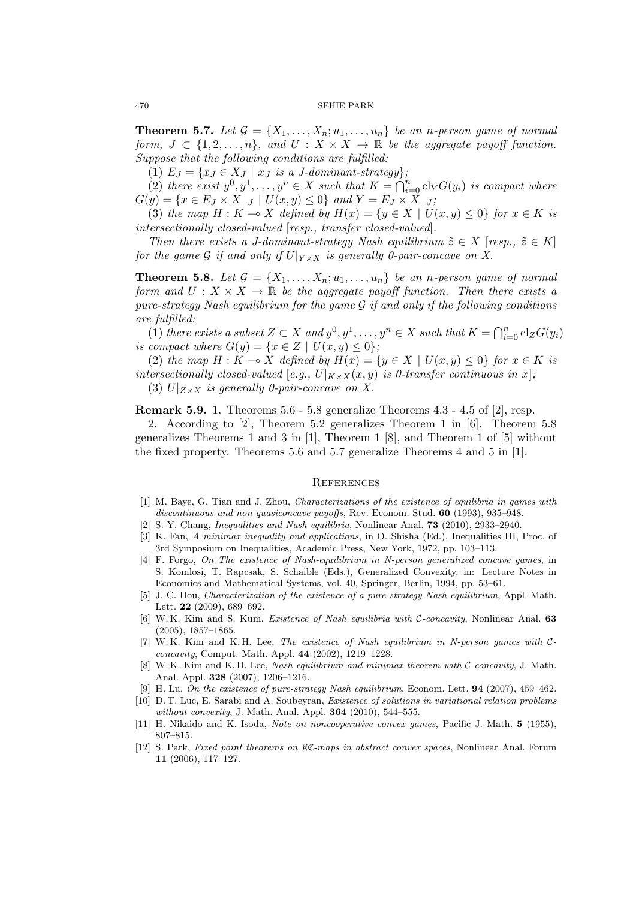**Theorem 5.7.** Let  $\mathcal{G} = \{X_1, \ldots, X_n; u_1, \ldots, u_n\}$  be an *n*-person game of normal *form,*  $J \subset \{1, 2, \ldots, n\}$ *, and*  $U : X \times X \to \mathbb{R}$  *be the aggregate payoff function. Suppose that the following conditions are fulfilled:*

(1)  $E_J = \{x_J \in X_J \mid x_J \text{ is a } J\text{-}dominant-strategy\}$ 

(2) there exist  $y^0, y^1, \ldots, y^n \in X$  such that  $K = \bigcap_{i=0}^n \text{cl}_Y G(y_i)$  is compact where  $G(y) = \{x \in E_J \times X_{-J} \mid U(x, y) \le 0\}$  and  $Y = E_J \times X_{-J}$ ;

(3) *the map*  $H: K \to X$  *defined by*  $H(x) = \{y \in X \mid U(x, y) \le 0\}$  *for*  $x \in K$  *is intersectionally closed-valued* [*resp., transfer closed-valued*]*.*

*Then there exists a J-dominant-strategy Nash equilibrium*  $\tilde{z} \in X$  [*resp.,*  $\tilde{z} \in K$ ] *for the game* G *if and only if*  $U|_{Y \times X}$  *is generally 0-pair-concave on X.* 

**Theorem 5.8.** Let  $\mathcal{G} = \{X_1, \ldots, X_n; u_1, \ldots, u_n\}$  be an *n*-person game of normal *form and*  $U: X \times X \to \mathbb{R}$  *be the aggregate payoff function. Then there exists a pure-strategy Nash equilibrium for the game G if and only if the following conditions are fulfilled:*

(1) *there exists a subset*  $Z \subset X$  *and*  $y^0, y^1, \ldots, y^n \in X$  *such that*  $K = \bigcap_{i=0}^n \text{cl}_Z G(y_i)$ *is compact where*  $G(y) = \{x \in Z \mid U(x, y) \le 0\}$ ;

(2) *the map*  $H: K \to X$  *defined by*  $H(x) = \{y \in X \mid U(x, y) \le 0\}$  *for*  $x \in K$  *is intersectionally closed-valued* [*e.g.,*  $U|_{K \times X}(x, y)$  *is 0-transfer continuous in x*];

(3)  $U|_{Z\times X}$  *is generally 0-pair-concave on X.* 

**Remark 5.9.** 1. Theorems 5.6 - 5.8 generalize Theorems 4.3 - 4.5 of [2], resp.

2. According to [2], Theorem 5.2 generalizes Theorem 1 in [6]. Theorem 5.8 generalizes Theorems 1 and 3 in  $[1]$ , Theorem 1 [8], and Theorem 1 of  $[5]$  without the fixed property. Theorems 5.6 and 5.7 generalize Theorems 4 and 5 in [1].

# **REFERENCES**

- [1] M. Baye, G. Tian and J. Zhou, *Characterizations of the existence of equilibria in games with discontinuous and non-quasiconcave payoffs*, Rev. Econom. Stud. **60** (1993), 935–948.
- [2] S.-Y. Chang, *Inequalities and Nash equilibria*, Nonlinear Anal. **73** (2010), 2933–2940.
- [3] K. Fan, *A minimax inequality and applications*, in O. Shisha (Ed.), Inequalities III, Proc. of 3rd Symposium on Inequalities, Academic Press, New York, 1972, pp. 103–113.
- [4] F. Forgo, *On The existence of Nash-equilibrium in N-person generalized concave games*, in S. Komlosi, T. Rapcsak, S. Schaible (Eds.), Generalized Convexity, in: Lecture Notes in Economics and Mathematical Systems, vol. 40, Springer, Berlin, 1994, pp. 53–61.
- [5] J.-C. Hou, *Characterization of the existence of a pure-strategy Nash equilibrium*, Appl. Math. Lett. **22** (2009), 689–692.
- [6] W. K. Kim and S. Kum, *Existence of Nash equilibria with C-concavity*, Nonlinear Anal. **63** (2005), 1857–1865.
- [7] W. K. Kim and K. H. Lee, *The existence of Nash equilibrium in N-person games with Cconcavity*, Comput. Math. Appl. **44** (2002), 1219–1228.
- [8] W. K. Kim and K. H. Lee, *Nash equilibrium and minimax theorem with C-concavity*, J. Math. Anal. Appl. **328** (2007), 1206–1216.
- [9] H. Lu, *On the existence of pure-strategy Nash equilibrium*, Econom. Lett. **94** (2007), 459–462.
- [10] D. T. Luc, E. Sarabi and A. Soubeyran, *Existence of solutions in variational relation problems without convexity*, J. Math. Anal. Appl. **364** (2010), 544–555.
- [11] H. Nikaido and K. Isoda, *Note on noncooperative convex games*, Pacific J. Math. **5** (1955), 807–815.
- [12] S. Park, *Fixed point theorems on* KC*-maps in abstract convex spaces*, Nonlinear Anal. Forum **11** (2006), 117–127.